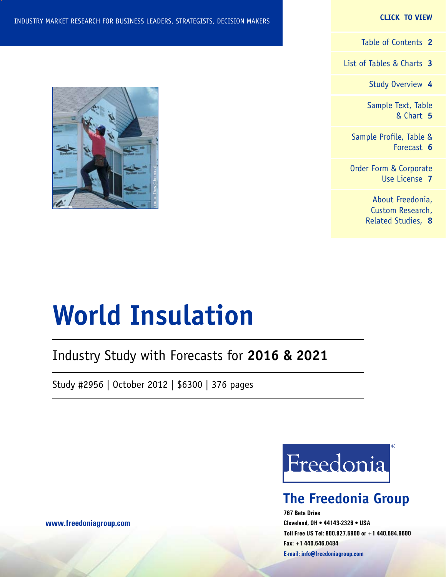#### **CLICK TO VIEW**

[Table of Contents](#page-1-0) **2**

[List of Tables & Charts](#page-2-0) **3**

[Study Overview](#page-3-0) **4**

[Sample Text, Table](#page-4-0) [& Chart](#page-4-0) **5**

[Sample Profile, Table &](#page-5-0) [Forecast](#page-5-0) **6**

[Order Form & Corporate](#page-6-0) [Use License](#page-6-0) **7**

> [About Freedonia,](#page-7-0) [Custom Research,](#page-7-0) [Related Studies,](#page-7-0) **8**



# **World Insulation**

## Industry Study with Forecasts for **2016 & 2021**

Study #2956 | October 2012 | \$6300 | 376 pages



## **The Freedonia Group**

**767 Beta Drive Cleveland, OH • 44143-2326 • USA Toll Free US Tel: 800.927.5900 or +1 440.684.9600 Fax: +1 440.646.0484 E-mail: [info@freedoniagroup.com](mailto:info@freedoniagroup.com)**

**[www.freedoniagroup.com](http://www.freedoniagroup.com/Home.aspx?ReferrerId=FM-Bro)**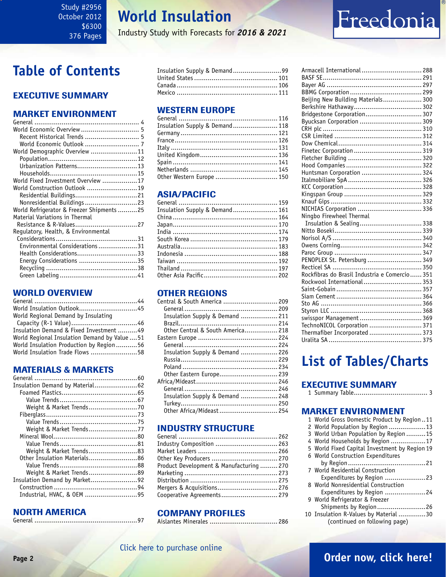## **World Insulation**

Industry Study with Forecasts for *2016 & 2021*

# Freedonia

## <span id="page-1-0"></span>**Table of Contents**

## Executive Summary

### Market EnvironmenT

| World Economic Overview  5                |  |
|-------------------------------------------|--|
| Recent Historical Trends  5               |  |
|                                           |  |
| World Demographic Overview 11             |  |
|                                           |  |
| Urbanization Patterns13                   |  |
|                                           |  |
| World Fixed Investment Overview 17        |  |
| World Construction Outlook 19             |  |
| Residential Buildings21                   |  |
| Nonresidential Buildings 23               |  |
| World Refrigerator & Freezer Shipments 25 |  |
| Material Variations in Thermal            |  |
| Resistance & R-Values27                   |  |
| Regulatory, Health, & Environmental       |  |
|                                           |  |
| Environmental Considerations31            |  |
| Health Considerations33                   |  |
| Energy Considerations 35                  |  |
|                                           |  |
|                                           |  |
|                                           |  |

## WORLD OVERVIEW

| World Regional Demand by Insulating           |  |
|-----------------------------------------------|--|
|                                               |  |
| Insulation Demand & Fixed Investment49        |  |
| World Regional Insulation Demand by Value  51 |  |
| World Insulation Production by Region56       |  |
| World Insulation Trade Flows 58               |  |

### MATERIALS & MARKETS

| Insulation Demand by Material62 |  |
|---------------------------------|--|
|                                 |  |
|                                 |  |
| Weight & Market Trends70        |  |
|                                 |  |
|                                 |  |
| Weight & Market Trends77        |  |
|                                 |  |
|                                 |  |
| Weight & Market Trends83        |  |
| Other Insulation Materials86    |  |
|                                 |  |
| Weight & Market Trends89        |  |
| Insulation Demand by Market92   |  |
|                                 |  |
| Industrial, HVAC, & OEM 95      |  |
|                                 |  |

## NORTH AMERICA

| Insulation Supply & Demand99 |  |
|------------------------------|--|
|                              |  |
|                              |  |
|                              |  |

### WESTERN EUROPE

| Insulation Supply & Demand 118 |  |
|--------------------------------|--|
|                                |  |
|                                |  |
|                                |  |
|                                |  |
|                                |  |
|                                |  |
| Other Western Europe  150      |  |

## ASIA/PACIFIC

| Insulation Supply & Demand 161 |  |
|--------------------------------|--|
|                                |  |
|                                |  |
|                                |  |
|                                |  |
|                                |  |
|                                |  |
|                                |  |
|                                |  |
|                                |  |
|                                |  |

## OTHER REGIONS

| Central & South America  209      |  |
|-----------------------------------|--|
|                                   |  |
| Insulation Supply & Demand  211   |  |
|                                   |  |
| Other Central & South America 218 |  |
|                                   |  |
|                                   |  |
| Insulation Supply & Demand  226   |  |
|                                   |  |
|                                   |  |
| Other Eastern Europe 239          |  |
|                                   |  |
|                                   |  |
| Insulation Supply & Demand  248   |  |
|                                   |  |
|                                   |  |
|                                   |  |

## INDUSTRY STRUCTURE

| Industry Composition  263                |  |
|------------------------------------------|--|
|                                          |  |
| 0ther Key Producers  270                 |  |
| Product Development & Manufacturing  270 |  |
|                                          |  |
|                                          |  |
| Mergers & Acquisitions 276               |  |
| Cooperative Agreements 279               |  |

### Company Profiles

Aislantes Minerales ................................... 286

| Armacell International  288                   |  |
|-----------------------------------------------|--|
|                                               |  |
|                                               |  |
|                                               |  |
| Beijing New Building Materials 300            |  |
|                                               |  |
| Bridgestone Corporation 307                   |  |
| Byucksan Corporation  309                     |  |
|                                               |  |
|                                               |  |
|                                               |  |
|                                               |  |
|                                               |  |
|                                               |  |
| Huntsman Corporation  324                     |  |
|                                               |  |
|                                               |  |
|                                               |  |
|                                               |  |
| NICHIAS Corporation  336                      |  |
| Ningbo Firewheel Thermal                      |  |
| Insulation & Sealing 338                      |  |
|                                               |  |
|                                               |  |
|                                               |  |
|                                               |  |
| PENOPLEX St. Petersburg  349                  |  |
|                                               |  |
| Rockfibras do Brasil Industria e Comercio 351 |  |
| Rockwool International 353                    |  |
|                                               |  |
|                                               |  |
|                                               |  |
|                                               |  |
| swisspor Management  369                      |  |
| TechnoNICOL Corporation  371                  |  |
| Thermafiber Incorporated  373                 |  |
|                                               |  |

## **List of Tables/Charts**

## Executive Summary

|--|--|--|--|

### Market EnvironmenT

| 1 World Gross Domestic Product by Region11    |  |
|-----------------------------------------------|--|
| 2 World Population by Region 13               |  |
| 3 World Urban Population by Region  15        |  |
| 4 World Households by Region 17               |  |
| 5 World Fixed Capital Investment by Region 19 |  |
| 6 World Construction Expenditures             |  |
|                                               |  |
| 7 World Residential Construction              |  |
| Expenditures by Region 23                     |  |
| 8 World Nonresidential Construction           |  |
| Expenditures by Region 24                     |  |
| 9 World Refrigerator & Freezer                |  |
| Shipments by Region26                         |  |
| 10 Insulation R-Values by Material 30         |  |
| (continued on following page)                 |  |
|                                               |  |

## [Click here to purchase online](http://www.freedoniagroup.com/DocumentDetails.aspx?Referrerid=FM-Bro&StudyID=2956)

## **Page 2 [Order now, click here!](#page-6-0)**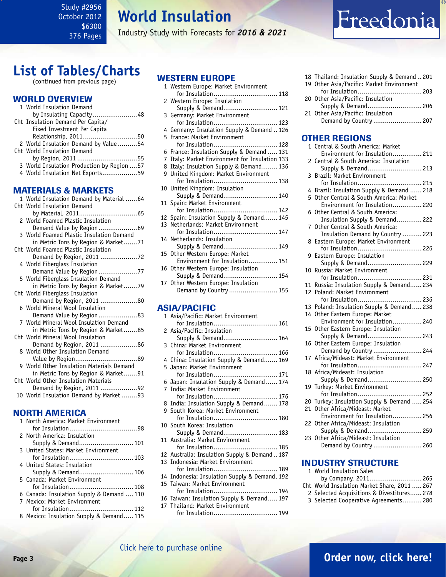## **World Insulation**

Industry Study with Forecasts for *2016 & 2021*

## <span id="page-2-0"></span>**List of Tables/Charts**

(continued from previous page)

#### WORLD OVERVIEW

| 1 World Insulation Demand                   |  |
|---------------------------------------------|--|
| by Insulating Capacity48                    |  |
| Cht Insulation Demand Per Capita/           |  |
| Fixed Investment Per Capita                 |  |
| Relationship, 201150                        |  |
| 2 World Insulation Demand by Value54        |  |
| Cht World Insulation Demand                 |  |
| by Region, 201155                           |  |
| 3 World Insulation Production by Region  57 |  |
| 4 World Insulation Net Exports59            |  |
|                                             |  |
| <b>MATERIALS &amp; MARKETS</b>              |  |
| 1 World Insulation Demand by Material 64    |  |
| Cht World Insulation Demand                 |  |
|                                             |  |
| 2 World Foamed Plastic Insulation           |  |

| z wortu Foamed Plastic Insulation         |
|-------------------------------------------|
| Demand Value by Region69                  |
| 3 World Foamed Plastic Insulation Demand  |
| in Metric Tons by Region & Market71       |
| Cht World Foamed Plastic Insulation       |
|                                           |
| 4 World Fiberglass Insulation             |
| Demand Value by Region77                  |
| 5 World Fiberglass Insulation Demand      |
| in Metric Tons by Region & Market79       |
| Cht World Fiberglass Insulation           |
| Demand by Region, 2011 80                 |
| 6 World Mineral Wool Insulation           |
| Demand Value by Region83                  |
| 7 World Mineral Wool Insulation Demand    |
| in Metric Tons by Region & Market85       |
| Cht World Mineral Wool Insulation         |
| Demand by Region, 2011 86                 |
| 8 World Other Insulation Demand           |
|                                           |
| 9 World Other Insulation Materials Demand |
| in Metric Tons by Region & Market91       |
| Cht World Other Insulation Materials      |
| Demand by Region, 2011 92                 |
| 10 World Insulation Demand by Market 93   |
|                                           |

## NORTH AMERICA

| 1 North America: Market Environment       |
|-------------------------------------------|
|                                           |
| 2 North America: Insulation               |
|                                           |
| 3 United States: Market Environment       |
| for Insulation 103                        |
| 4 United States: Insulation               |
|                                           |
| 5 Canada: Market Environment              |
| for Insulation 108                        |
| 6 Canada: Insulation Supply & Demand  110 |
| 7 Mexico: Market Environment              |
| for Insulation 112                        |
| 8 Mexico: Insulation Supply & Demand 115  |

## WESTERN EUROPE

| LUILINI LUIIUI L                               |     |
|------------------------------------------------|-----|
| 1 Western Europe: Market Environment           |     |
| for Insulation 118                             |     |
| 2 Western Europe: Insulation                   |     |
| Supply & Demand 121                            |     |
| 3 Germany: Market Environment                  |     |
| for Insulation 123                             |     |
| 4 Germany: Insulation Supply & Demand  126     |     |
| 5 France: Market Environment                   |     |
| for Insulation 128                             |     |
| 6 France: Insulation Supply & Demand  131      |     |
| 7 Italy: Market Environment for Insulation 133 |     |
| 8 Italy: Insulation Supply & Demand 136        |     |
| 9 United Kingdom: Market Environment           |     |
| for Insulation 138                             |     |
| 10 United Kingdom: Insulation                  |     |
| Supply & Demand 140                            |     |
| 11 Spain: Market Environment                   |     |
| for Insulation 142                             |     |
| 12 Spain: Insulation Supply & Demand 145       |     |
| 13 Netherlands: Market Environment             |     |
| for Insulation 147                             |     |
| 14 Netherlands: Insulation                     |     |
| Supply & Demand 149                            |     |
| 15 Other Western Europe: Market                |     |
| Environment for Insulation 151                 |     |
| 16 Other Western Europe: Insulation            |     |
| Supply & Demand 154                            |     |
| 17 Other Western Europe: Insulation            |     |
| Demand by Country  155                         |     |
|                                                |     |
| <b>ASIA/PACIFIC</b>                            |     |
| 1 Asia/Pacific: Market Environment             |     |
| for Inculation                                 | 161 |

| 1 Asia/Pacific: Market Environment            |
|-----------------------------------------------|
| for Insulation 161                            |
| 2 Asia/Pacific: Insulation                    |
| Supply & Demand 164                           |
| 3 China: Market Environment                   |
| for Insulation 166                            |
| 4 China: Insulation Supply & Demand 169       |
| 5 Japan: Market Environment                   |
| for Insulation 171                            |
| 6 Japan: Insulation Supply & Demand  174      |
| 7 India: Market Environment                   |
| for Insulation 176                            |
| 8 India: Insulation Supply & Demand 178       |
| 9 South Korea: Market Environment             |
| for Insulation 180                            |
| 10 South Korea: Insulation                    |
| Supply & Demand 183                           |
| 11 Australia: Market Environment              |
| for Insulation 185                            |
| 12 Australia: Insulation Supply & Demand187   |
| 13 Indonesia: Market Environment              |
| for Insulation 189                            |
| 14 Indonesia: Insulation Supply & Demand. 192 |
| 15 Taiwan: Market Environment                 |
| for Insulation 194                            |
| 16 Taiwan: Insulation Supply & Demand 197     |
| 17 Thailand: Market Environment               |

for Insulation................................. 199

|  | 18 Thailand: Insulation Supply & Demand 201 |  |
|--|---------------------------------------------|--|
|  | 19 Other Asia/Pacific: Market Environment   |  |
|  |                                             |  |
|  | 20 Other Asia/Pacific: Insulation           |  |
|  | Supply & Demand 206                         |  |
|  | 21 Other Asia/Pacific: Insulation           |  |
|  | Demand by Country  207                      |  |
|  |                                             |  |
|  |                                             |  |

Freedonia

### OTHER REGIONS

|                       | 1 Central & South America: Market                |
|-----------------------|--------------------------------------------------|
|                       | Environment for Insulation 211                   |
| 2                     | Central & South America: Insulation              |
|                       | Supply & Demand 213                              |
| 3                     | Brazil: Market Environment                       |
|                       | for Insulation 215                               |
| 4                     | Brazil: Insulation Supply & Demand  218          |
| 5                     | Other Central & South America: Market            |
|                       | Environment for Insulation 220                   |
| 6                     | Other Central & South America:                   |
|                       | Insulation Supply & Demand 222                   |
| 7                     | Other Central & South America:                   |
|                       | Insulation Demand by Country  223                |
| 8                     | Eastern Europe: Market Environment               |
|                       | for Insulation 226                               |
| 9                     | Eastern Europe: Insulation                       |
|                       | Supply & Demand 229                              |
| 10                    | Russia: Market Environment                       |
|                       | for Insulation 231                               |
| 11<br>12 <sup>°</sup> | Russia: Insulation Supply & Demand 234           |
|                       | Poland: Market Environment<br>for Insulation 236 |
|                       | 13 Poland: Insulation Supply & Demand 238        |
| 14                    | Other Eastern Europe: Market                     |
|                       | Environment for Insulation 240                   |
| 15                    | Other Eastern Europe: Insulation                 |
|                       | Supply & Demand 243                              |
| 16                    | Other Eastern Europe: Insulation                 |
|                       | Demand by Country  244                           |
|                       | 17 Africa/Mideast: Market Environment            |
|                       | for Insulation 247                               |
| 18                    | Africa/Mideast: Insulation                       |
|                       | Supply & Demand 250                              |
| 19                    | Turkey: Market Environment                       |
|                       | for Insulation<br>. 252                          |
| 20                    | Turkey: Insulation Supply & Demand  254          |
| 21                    | Other Africa/Mideast: Market                     |
|                       | Environment for Insulation 256                   |
| 22                    | Other Africa/Mideast: Insulation                 |
|                       | Supply & Demand 259                              |
| 23                    | Other Africa/Mideast: Insulation                 |
|                       | Demand by Country  260                           |

#### INDUSTRY STRUCTURE

- 1 World Insulation Sales by Company, 2011........................... 265 Cht World Insulation Market Share, 2011 ..... 267 2 Selected Acquisitions & Divestitures...... 278
	- 3 Selected Cooperative Agreements.......... 280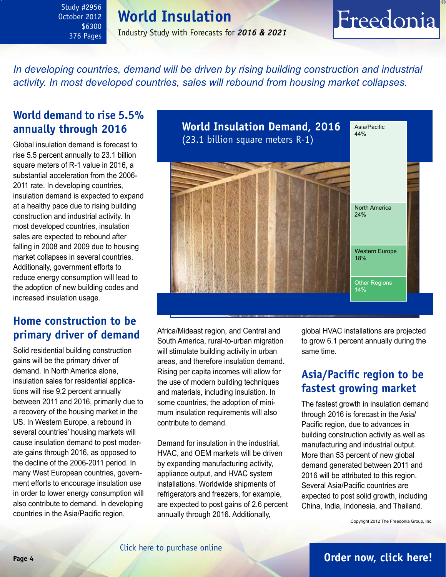## **World Insulation**

Industry Study with Forecasts for *2016 & 2021*

## <span id="page-3-0"></span>*In developing countries, demand will be driven by rising building construction and industrial activity. In most developed countries, sales will rebound from housing market collapses.*

## **World demand to rise 5.5% annually through 2016**

Global insulation demand is forecast to rise 5.5 percent annually to 23.1 billion square meters of R-1 value in 2016, a substantial acceleration from the 2006- 2011 rate. In developing countries, insulation demand is expected to expand at a healthy pace due to rising building construction and industrial activity. In most developed countries, insulation sales are expected to rebound after falling in 2008 and 2009 due to housing market collapses in several countries. Additionally, government efforts to reduce energy consumption will lead to the adoption of new building codes and increased insulation usage.

## **Home construction to be primary driver of demand**

Solid residential building construction gains will be the primary driver of demand. In North America alone, insulation sales for residential applications will rise 9.2 percent annually between 2011 and 2016, primarily due to a recovery of the housing market in the US. In Western Europe, a rebound in several countries' housing markets will cause insulation demand to post moderate gains through 2016, as opposed to the decline of the 2006-2011 period. In many West European countries, government efforts to encourage insulation use in order to lower energy consumption will also contribute to demand. In developing countries in the Asia/Pacific region,



Africa/Mideast region, and Central and South America, rural-to-urban migration will stimulate building activity in urban areas, and therefore insulation demand. Rising per capita incomes will allow for the use of modern building techniques and materials, including insulation. In some countries, the adoption of minimum insulation requirements will also contribute to demand.

Demand for insulation in the industrial, HVAC, and OEM markets will be driven by expanding manufacturing activity, appliance output, and HVAC system installations. Worldwide shipments of refrigerators and freezers, for example, are expected to post gains of 2.6 percent annually through 2016. Additionally,

global HVAC installations are projected to grow 6.1 percent annually during the same time.

Freedonia

## **Asia/Pacific region to be fastest growing market**

The fastest growth in insulation demand through 2016 is forecast in the Asia/ Pacific region, due to advances in building construction activity as well as manufacturing and industrial output. More than 53 percent of new global demand generated between 2011 and 2016 will be attributed to this region. Several Asia/Pacific countries are expected to post solid growth, including China, India, Indonesia, and Thailand.

Copyright 2012 The Freedonia Group, Inc.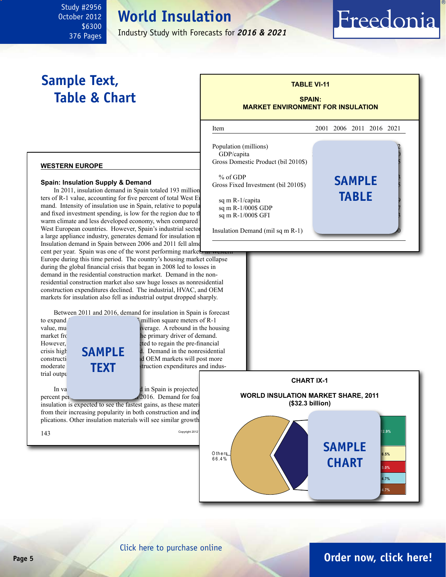## **World Insulation**

Industry Study with Forecasts for *2016 & 2021*

## <span id="page-4-0"></span>**Sample Text, Table & Chart**

## he primary driver of demand. **TABLE VI-11 SPAIN: MARKET ENVIRONMENT FOR INSULATION** l Item 2001 2006 2011 2016 2021 Population (millions) GDP/capita Gross Domestic Product (bil 2010\$) % of GDP<br>
oss Fixed Investment (bil 2010\$)<br> **SAMPLE** Gross Fixed Investment (bil 2010\$). sq m R-1/capita sq m R-1/000\$ GDP sq m R-1/000\$ GFI Insulation Demand (mil sq m  $R-1$ ) **table**

Freedonia

#### **western europe**

#### **Spain: Insulation Supply & Demand**

In 2011, insulation demand in Spain totaled 193 million ters of R-1 value, accounting for five percent of total West  $E$ mand. Intensity of insulation use in Spain, relative to popula and fixed investment spending, is low for the region due to the warm climate and less developed economy, when compared West European countries. However, Spain's industrial sector a large appliance industry, generates demand for insulation m Insulation demand in Spain between 2006 and 2011 fell almo

cent per year. Spain was one of the worst performing market Europe during this time period. The country's housing market collapse during the global financial crisis that began in 2008 led to losses in demand in the residential construction market. Demand in the nonresidential construction market also saw huge losses as nonresidential construction expenditures declined. The industrial, HVAC, and OEM markets for insulation also fell as industrial output dropped sharply.

Between 2011 and 2016, demand for insulation in Spain is forecast

to expand<br>
5.7 percent and 5.7 percent and 5.7 percent and 5.7 percent and 5.7 percent and 5.7 percent and 5.7 percent and 5.7 percent and 5.7 percent and 5.7 percent and 5.7 percent and 5.7 percent and 5.7 percent and 5.7 value, much higher than the regional verage. A rebound in the housing<br>market frequency in the regional contract the regional heat of demand. However, the notation of the notation of the notation of the pre-financial reduces are not expected to regain the pre-financial crisis high  $\Box \Box \Box \Box \Box \Box$   $\Box$  Demand in the nonresidential  $\frac{1}{d}$  CEM markets will post more  $\blacksquare$   $\blacksquare$   $\blacksquare$   $\blacksquare$   $\blacksquare$   $\blacksquare$   $\blacksquare$   $\blacksquare$   $\blacksquare$   $\blacksquare$   $\blacksquare$   $\blacksquare$   $\blacksquare$   $\blacksquare$   $\blacksquare$   $\blacksquare$   $\blacksquare$   $\blacksquare$   $\blacksquare$   $\blacksquare$   $\blacksquare$   $\blacksquare$   $\blacksquare$   $\blacksquare$   $\blacksquare$   $\blacksquare$   $\blacksquare$   $\blacksquare$   $\blacksquare$   $\blacksquare$   $\blacksquare$   $\blacks$ trial outpu

In value terms, insulation demand in Spain is projected percent per  $\sqrt{2016}$ . Demand for foa

insulation is expected to see the fastest gains, as these materi from their increasing popularity in both construction and ind plications. Other insulation materials will see similar growth

**sample**

**text**

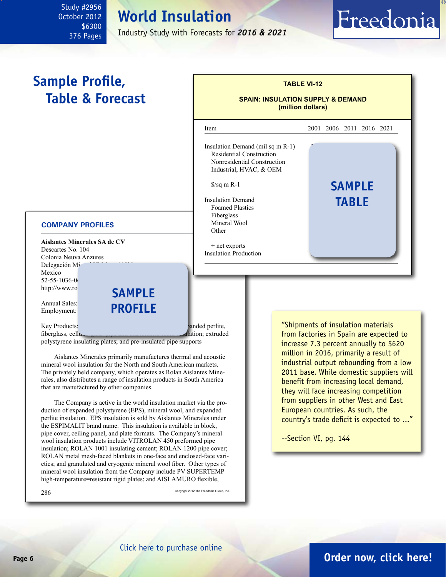## **World Insulation**

Industry Study with Forecasts for *2016 & 2021*

l

Insulation Demand (mil sq m  $R-1$ ) Residential Construction Nonresidential Construction Industrial, HVAC, & OEM

**Insulation Demand** Foamed Plastics Fiberglass Mineral Wool

+ net exports **Insulation Production** 

## <span id="page-5-0"></span>**Sample Profile, Table & Forecast**

#### **COMPANY PROFILES**

**Aislantes Minerales SA de CV** Descartes No. 104 Colonia Neuva Anzures Delegación Mig Mexico  $52 - 55 - 1036 - 0$ http://www.ro **sample**

Annual Sales: Employment:

Key Products: expanded polystyrene, mineral wool, expanded perlite, mineral wool, expanded perlite, fiberglass, cellular glass pipe and elastomeric formation; extruded

polystyrene insulating plates; and pre-insulated pipe supports

Aislantes Minerales primarily manufactures thermal and acoustic mineral wool insulation for the North and South American markets. The privately held company, which operates as Rolan Aislantes Minerales, also distributes a range of insulation products in South America that are manufactured by other companies.

**profile**

The Company is active in the world insulation market via the production of expanded polystyrene (EPS), mineral wool, and expanded perlite insulation. EPS insulation is sold by Aislantes Minerales under the ESPIMALIT brand name. This insulation is available in block, pipe cover, ceiling panel, and plate formats. The Company's mineral wool insulation products include VITROLAN 450 preformed pipe insulation; ROLAN 1001 insulating cement; ROLAN 1200 pipe cover; ROLAN metal mesh-faced blankets in one-face and enclosed-face varieties; and granulated and cryogenic mineral wool fiber. Other types of mineral wool insulation from the Company include PV SUPERTEMP high-temperature=resistant rigid plates; and AISLAMURO flexible,

 $286$  Copyright 2012 The Freedonia Group, Inc.

### "Shipments of insulation materials from factories in Spain are expected to increase 7.3 percent annually to \$620 million in 2016, primarily a result of industrial output rebounding from a low 2011 base. While domestic suppliers will benefit from increasing local demand, they will face increasing competition from suppliers in other West and East European countries. As such, the country's trade deficit is expected to ..."

**table**

Freedonia

--Section VI, pg. 144

**TABLE VI-12**

**SPAIN: INSULATION SUPPLY & DEMAND (million dollars)**

Item 2001 2006 2011 2016 2021

**S**/sq m R-1 **5AMPLE** 

Other 19 28 19 28 36



## **Page 6 [Order now, click here!](#page-6-0)**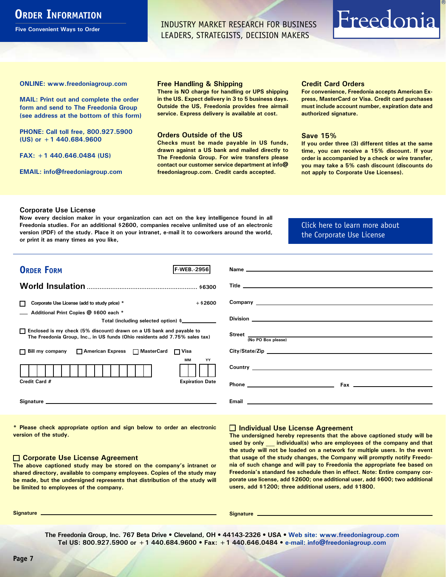## <span id="page-6-0"></span>**ORDER INFORMATION**

**Five Convenient Ways to Order**

INDUSTRY MARKET RESEARCH FOR BUSINESS LEADERS, STRATEGISTS, DECISION MAKERS

# Freedonia

**ONLINE: [www.freedoniagroup.com](http://www.freedoniagroup.com/DocumentDetails.aspx?Referrerid=FM-Bro&StudyID=2956)**

**MAIL: Print out and complete the order form and send to The Freedonia Group (see address at the bottom of this form)**

**PHONE: Call toll free, 800.927.5900 (US) or +1 440.684.9600**

**FAX: +1 440.646.0484 (US)**

**EMAIL: [info@freedoniagroup.com](mailto:info@freedoniagroup.com)**

#### **Free Handling & Shipping**

**There is NO charge for handling or UPS shipping in the US. Expect delivery in 3 to 5 business days. Outside the US, Freedonia provides free airmail service. Express delivery is available at cost.**

#### **Orders Outside of the US**

**Checks must be made payable in US funds, drawn against a US bank and mailed directly to The Freedonia Group. For wire transfers please contact our customer service department at info@ freedoniagroup.com. Credit cards accepted.**

#### **Credit Card Orders**

**For convenience, Freedonia accepts American Express, MasterCard or Visa. Credit card purchases must include account number, expiration date and authorized signature.**

#### **Save 15%**

**If you order three (3) different titles at the same time, you can receive a 15% discount. If your order is accompanied by a check or wire transfer, you may take a 5% cash discount (discounts do not apply to Corporate Use Licenses).**

#### **Corporate Use License**

**Now every decision maker in your organization can act on the key intelligence found in all Freedonia studies. For an additional \$2600, companies receive unlimited use of an electronic version (PDF) of the study. Place it on your intranet, e-mail it to coworkers around the world, or print it as many times as you like,** 

### [Click here to learn more about](http://www.freedoniagroup.com/pdf/FreedoniaCULBro.pdf)  [the Corporate Use License](http://www.freedoniagroup.com/pdf/FreedoniaCULBro.pdf)

| <b>ORDER FORM</b><br><b>F-WEB. 2956</b>                                                                                                               |                                                                                                                                                                                                                                           |
|-------------------------------------------------------------------------------------------------------------------------------------------------------|-------------------------------------------------------------------------------------------------------------------------------------------------------------------------------------------------------------------------------------------|
|                                                                                                                                                       |                                                                                                                                                                                                                                           |
|                                                                                                                                                       |                                                                                                                                                                                                                                           |
|                                                                                                                                                       |                                                                                                                                                                                                                                           |
| $+$ \$2600<br>Corporate Use License (add to study price) *                                                                                            |                                                                                                                                                                                                                                           |
| Additional Print Copies @ \$600 each *                                                                                                                |                                                                                                                                                                                                                                           |
| Total (including selected option) \$___________                                                                                                       |                                                                                                                                                                                                                                           |
| □ Enclosed is my check (5% discount) drawn on a US bank and payable to<br>The Freedonia Group, Inc., in US funds (Ohio residents add 7.75% sales tax) | Street $\frac{1}{(No PO Box please)}$                                                                                                                                                                                                     |
|                                                                                                                                                       |                                                                                                                                                                                                                                           |
| □ Bill my company □ American Express □ MasterCard □ Visa                                                                                              |                                                                                                                                                                                                                                           |
| <b>MM</b><br>YY                                                                                                                                       |                                                                                                                                                                                                                                           |
|                                                                                                                                                       | <b>Country</b> <u>example and the country of the country of the country of the country of the country of the country of the country of the country of the country of the country of the country of the country of the country of the </u> |
| Credit Card #<br><b>Expiration Date</b>                                                                                                               |                                                                                                                                                                                                                                           |
|                                                                                                                                                       |                                                                                                                                                                                                                                           |
|                                                                                                                                                       |                                                                                                                                                                                                                                           |
|                                                                                                                                                       |                                                                                                                                                                                                                                           |

**\* Please check appropriate option and sign below to order an electronic version of the study.**

#### **Corporate Use License Agreement**

**The above captioned study may be stored on the company's intranet or shared directory, available to company employees. Copies of the study may be made, but the undersigned represents that distribution of the study will be limited to employees of the company.**

#### **Individual Use License Agreement**

**The undersigned hereby represents that the above captioned study will be used by only \_\_\_ individual(s) who are employees of the company and that the study will not be loaded on a network for multiple users. In the event that usage of the study changes, the Company will promptly notify Freedonia of such change and will pay to Freedonia the appropriate fee based on Freedonia's standard fee schedule then in effect. Note: Entire company corporate use license, add \$2600; one additional user, add \$600; two additional users, add \$1200; three additional users, add \$1800.**

**Signature Signature**

**The Freedonia Group, Inc. 767 Beta Drive • Cleveland, OH • 44143-2326 • USA • [Web site: www.freedoniagroup.com](http://www.freedoniagroup.com/Home.aspx?ReferrerId=FM-Bro) Tel US: 800.927.5900 or +1 440.684.9600 • Fax: +1 440.646.0484 • [e-mail: info@freedoniagroup.com](mailto:info@freedoniagroup.com)**